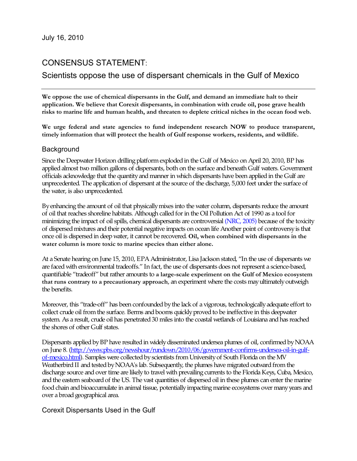# CONSENSUS STATEMENT:

## Scientists oppose the use of dispersant chemicals in the Gulf of Mexico

**We oppose the use of chemical dispersants in the Gulf, and demand an immediate halt to their application. We believe that Corexit dispersants, in combination with crude oil, pose grave health risks to marine life and human health, and threaten to deplete critical niches in the ocean food web.** 

**We urge federal and state agencies to fund independent research NOW to produce transparent, timely information that will protect the health of Gulf response workers, residents, and wildlife.** 

#### Background

Since the Deepwater Horizon drilling platform exploded in the Gulf of Mexico on April 20, 2010, BP has applied almost two million gallons of dispersants, both on the surface and beneath Gulf waters. Government officials acknowledge that the quantity and manner in which dispersants have been applied in the Gulf are unprecedented. The application of dispersant at the source of the discharge, 5,000 feet under the surface of the water, is also unprecedented.

By enhancing the amount of oil that physically mixes into the water column, dispersants reduce the amount of oil that reaches shoreline habitats. Although called for in the Oil Pollution Act of 1990 as a tool for minimizing the impact of oil spills, chemical dispersants are controversial (NRC, 2005) because of the toxicity of dispersed mixtures and their potential negative impacts on ocean life Another point of controversy is that once oil is dispersed in deep water, it cannot be recovered. **Oil, when combined with dispersants in the water column is more toxic to marine species than either alone.**

At a Senate hearing on June 15, 2010, EPA Administrator, Lisa Jackson stated, "In the use of dispersants we are faced with environmental tradeoffs." In fact, the use of dispersants does not represent a science-based, quantifiable "tradeoff" but rather amounts to **a large-scale experiment on the Gulf of Mexico ecosystem that runs contrary to a precautionary approach**, an experiment where the costs may ultimately outweigh the benefits.

Moreover, this "trade-off" has been confounded by the lack of a vigorous, technologically adequate effort to collect crude oil from the surface. Berms and booms quickly proved to be ineffective in this deepwater system. As a result, crude oil has penetrated 30 miles into the coastal wetlands of Louisiana and has reached the shores of other Gulf states.

Dispersants applied by BP have resulted in widely disseminated undersea plumes of oil, confirmed by NOAA on June 8. [\(http://www.pbs.org/newshour/rundown/2010/06/government-confirms-undersea-oil-in-gulf](http://www.pbs.org/newshour/rundown/2010/06/government-confirms-undersea-oil-in-gulf-of-mexico.html)[of-mexico.html\)](http://www.pbs.org/newshour/rundown/2010/06/government-confirms-undersea-oil-in-gulf-of-mexico.html). Samples were collected by scientists from University of South Florida on the MV Weatherbird II and tested by NOAA's lab. Subsequently, the plumes have migrated outward from the discharge source and over time are likely to travel with prevailing currents to the Florida Keys, Cuba, Mexico, and the eastern seaboard of the US. The vast quantities of dispersed oil in these plumes can enter the marine food chain and bioaccumulate in animal tissue, potentially impacting marine ecosystems over many years and over a broad geographical area.

Corexit Dispersants Used in the Gulf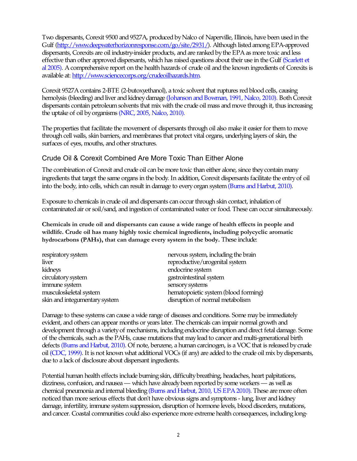Two dispersants, Corexit 9500 and 9527A, produced by Nalco of Naperville, Illinois, have been used in the Gulf [\(http://www.deepwaterhorizonresponse.com/go/site/2931/\)](http://www.deepwaterhorizonresponse.com/go/site/2931/). Although listed among EPA-approved dispersants, Corexits are oil industry-insider products, and are ranked by the EPA as more toxic and less effective than other approved dispersants, which has raised questions about their use in the Gulf (Scarlett et al 2005). A comprehensive report on the health hazards of crude oil and the known ingredients of Corexits is available at: [http://www.sciencecorps.org/crudeoilhazards.htm.](http://www.sciencecorps.org/crudeoilhazards.htm)

Corexit 9527A contains 2-BTE (2-butoxyethanol), a toxic solvent that ruptures red blood cells, causing hemolysis (bleeding) and liver and kidney damage (Johanson and Bowman, 1991, Nalco, 2010). Both Corexit dispersants contain petroleum solvents that mix with the crude oil mass and move through it, thus increasing the uptake of oil by organisms (NRC, 2005, Nalco, 2010).

The properties that facilitate the movement of dispersants through oil also make it easier for them to move through cell walls, skin barriers, and membranes that protect vital organs, underlying layers of skin, the surfaces of eyes, mouths, and other structures.

#### Crude Oil & Corexit Combined Are More Toxic Than Either Alone

The combination of Corexit and crude oil can be more toxic than either alone, since they contain many ingredients that target the same organs in the body. In addition, Corexit dispersants facilitate the entry of oil into the body, into cells, which can result in damage to every organ system [\(Burns](http://www.sciencecorps.org/crudeoilhazards.htm) and Harbut, 2010).

Exposure to chemicals in crude oil and dispersants can occur through skin contact, inhalation of contaminated air or soil/sand, and ingestion of contaminated water or food. These can occur simultaneously.

**Chemicals in crude oil and dispersants can cause a wide range of health effects in people and wildlife. Crude oil has many highly toxic chemical ingredients, including polycyclic aromatic hydrocarbons (PAHs), that can damage every system in the body.** These include:

| respiratory system            | nervous system, including the brain  |
|-------------------------------|--------------------------------------|
| liver                         | reproductive/urogenital system       |
| kidneys                       | endocrine system                     |
| circulatory system            | gastrointestinal system              |
| immune system                 | sensory systems                      |
| musculoskeletal system        | hematopoietic system (blood forming) |
| skin and integumentary system | disruption of normal metabolism      |

Damage to these systems can cause a wide range of diseases and conditions. Some may be immediately evident, and others can appear months or years later. The chemicals can impair normal growth and development through a variety of mechanisms, including endocrine disruption and direct fetal damage. Some of the chemicals, such as the PAHs, cause mutations that may lead to cancer and multi-generational birth defects ([Burns](http://www.sciencecorps.org/crudeoilhazards.htm) and Harbut, 2010). Of note, benzene, a human carcinogen, is a VOC that is released by crude oil (CDC, 1999). It is not known what additional VOCs (if any) are added to the crude oil mix by dispersants, due to a lack of disclosure about dispersant ingredients.

Potential human health effects include burning skin, difficulty breathing, headaches, heart palpitations, dizziness, confusion, and nausea — which have already been reported by some workers — as well as chemical pneumonia and internal bleeding [\(Burns](http://www.sciencecorps.org/crudeoilhazards.htm) and Harbut, 2010, US EPA 2010). These are more often noticed than more serious effects that don't have obvious signs and symptoms - lung, liver and kidney damage, infertility, immune system suppression, disruption of hormone levels, blood disorders, mutations, and cancer. Coastal communities could also experience more extreme health consequences, including long-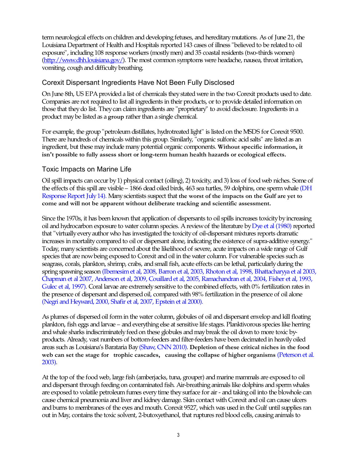term neurological effects on children and developing fetuses, and hereditary mutations. As of June 21, the Louisiana Department of Health and Hospitals reported 143 cases of illness "believed to be related to oil exposure", including 108 response workers (mostly men) and 35 coastal residents (two-thirds women) [\(http://www.dhh.louisiana.gov/\)](http://www.dhh.louisiana.gov/). The most common symptoms were headache, nausea, throat irritation, vomiting, cough and difficulty breathing.

#### Corexit Dispersant Ingredients Have Not Been Fully Disclosed

On June 8th, US EPA provided a list of chemicals they stated were in the two Corexit products used to date. Companies are not required to list all ingredients in their products, or to provide detailed information on those that they do list. They can claim ingredients are "proprietary" to avoid disclosure. Ingredients in a product may be listed as a **group** rather than a single chemical.

For example, the group "petroleum distillates, hydrotreated light" is listed on the MSDS for Corexit 9500. There are hundreds of chemicals within this group. Similarly, "organic sulfonic acid salts" are listed as an ingredient, but these may include many potential organic components. **Without specific information, it isn't possible to fully assess short or long-term human health hazards or ecological effects.** 

#### Toxic Impacts on Marine Life

Oil spill impacts can occur by 1) physical contact (oiling), 2) toxicity, and 3) loss of food web niches. Some of the effects of this spill are visible – 1866 dead oiled birds, 463 sea turtles, 59 dolphins, one sperm whale (DH Response Report July 14). Many scientists suspect that **the worst of the impacts on the Gulf are yet to come and will not be apparent without deliberate tracking and scientific assessment.** 

Since the 1970s, it has been known that application of dispersants to oil spills increases toxicity by increasing oil and hydrocarbon exposure to water column species. A review of the literature by Dye et al (1980) reported that "virtually every author who has investigated the toxicity of oil-dispersant mixtures reports dramatic increases in mortality compared to oil or dispersant alone, indicating the existence of supra-additive synergy." Today, many scientists are concerned about the likelihood of severe, acute impacts on a wide range of Gulf species that are now being exposed to Corexit and oil in the water column. For vulnerable species such as seagrass, corals, plankton, shrimp, crabs, and small fish, acute effects can be lethal, particularly during the spring spawning season (Ibemesim et al, 2008, Barron et al, 2003, Rhoton et al, 1998, Bhattacharyya et al 2003, Chapman et al 2007, Anderson et al, 2009, Couillard et al, 2005, Ramachandran et al, 2004, Fisher et al, 1993, Gulec et al, 1997). Coral larvae are extremely sensitive to the combined effects, with 0% fertilization rates in the presence of dispersant and dispersed oil, compared with 98% fertilization in the presence of oil alone (Negri and Heyward, 2000, Shafir et al, 2007, Epstein et al 2000).

As plumes of dispersed oil form in the water column, globules of oil and dispersant envelop and kill floating plankton, fish eggs and larvae – and everything else at sensitive life stages. Planktivorous species like herring and whale sharks indiscriminately feed on these globules and may break the oil down to more toxic byproducts. Already, vast numbers of bottom-feeders and filter-feeders have been decimated in heavily oiled areas such as Louisiana's Barataria Bay (Shaw, CNN 2010). **Depletion of these critical niches in the food web can set the stage for trophic cascades, causing the collapse of higher organisms** (Peterson et al. 2003).

At the top of the food web, large fish (amberjacks, tuna, grouper) and marine mammals are exposed to oil and dispersant through feeding on contaminated fish. Air-breathing animals like dolphins and sperm whales are exposed to volatile petroleum fumes every time they surface for air - and taking oil into the blowhole can cause chemical pneumonia and liver and kidney damage. Skin contact with Corexit and oil can cause ulcers and burns to membranes of the eyes and mouth. Corexit 9527, which was used in the Gulf until supplies ran out in May, contains the toxic solvent, 2-butoxyethanol, that ruptures red blood cells, causing animals to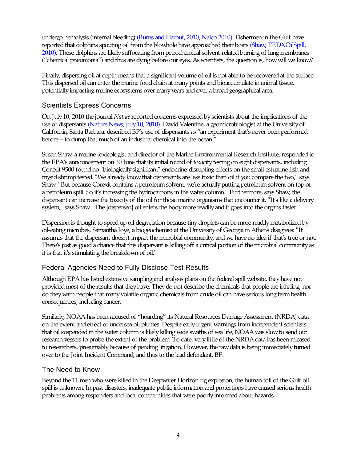undergo hemolysis (internal bleeding) ([Burns](http://www.sciencecorps.org/crudeoilhazards.htm) and Harbut, 2010, Nalco 2010). Fishermen in the Gulf have reported that dolphins spouting oil from the blowhole have approached their boats (Shaw, TEDXOilSpill, 2010). These dolphins are likely suffocating from petrochemical solvent-related burning of lung membranes ("chemical pneumonia") and thus are dying before our eyes. As scientists, the question is, how will we know?

Finally, dispersing oil at depth means that a significant volume of oil is not able to be recovered at the surface. This dispersed oil can enter the marine food chain at many points and bioaccumulate in animal tissue, potentially impacting marine ecosystems over many years and over a broad geographical area.

## Scientists Express Concerns

On July 10, 2010 the journal *Nature* reported concerns expressed by scientists about the implications of the use of dispersants (Nature News, July 10, 2010). David Valentine, a geomicrobiologist at the University of California, Santa Barbara, described BP's use of dispersants as "an experiment that's never been performed before – to dump that much of an industrial chemical into the ocean."

Susan Shaw, a marine toxicologist and director of the Marine Environmental Research Institute, responded to the EPA's announcement on 30 June that its initial round of toxicity testing on eight dispersants, including Corexit 9500 found no "biologically significant" endocrine-disrupting effects on the small estuarine fish and mysid shrimp tested. "We already know that dispersants are less toxic than oil if you compare the two," says Shaw. "But because Corexit contains a petroleum solvent, we're actually putting petroleum solvent on top of a petroleum spill. So it's increasing the hydrocarbons in the water column." Furthermore, says Shaw, the dispersant can increase the toxicity of the oil for those marine organisms that encounter it. "It's like a delivery system," says Shaw. "The [dispersed] oil enters the body more readily and it goes into the organs faster."

Dispersion is thought to speed up oil degradation because tiny droplets can be more readily metabolized by oil-eating microbes. Samantha Joye, a biogeochemist at the University of Georgia in Athens disagrees: "It assumes that the dispersant doesn't impact the microbial community, and we have no idea if that's true or not. There's just as good a chance that this dispersant is killing off a critical portion of the microbial community as it is that it's stimulating the breakdown of oil."

### Federal Agencies Need to Fully Disclose Test Results

Although EPA has listed extensive sampling and analysis plans on the federal spill website, they have not provided most of the results that they have. They do not describe the chemicals that people are inhaling, nor do they warn people that many volatile organic chemicals from crude oil can have serious long term health consequences, including cancer.

Similarly, NOAA has been accused of "hoarding" its Natural Resources Damage Assessment (NRDA) data on the extent and effect of undersea oil plumes. Despite early urgent warnings from independent scientists that oil suspended in the water column is likely killing wide swaths of sea life, NOAA was slow to send out research vessels to probe the extent of the problem. To date, very little of the NRDA data has been released to researchers, presumably because of pending litigation. However, the raw data is being immediately turned over to the Joint Incident Command, and thus to the lead defendant, BP.

### The Need to Know

Beyond the 11 men who were killed in the Deepwater Horizon rig explosion, the human toll of the Gulf oil spill is unknown. In past disasters, inadequate public information and protections have caused serious health problems among responders and local communities that were poorly informed about hazards.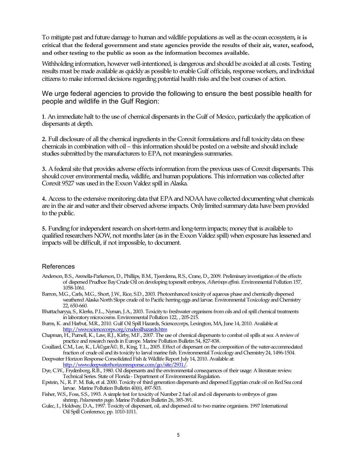To mitigate past and future damage to human and wildlife populations as well as the ocean ecosystem, **it is critical that the federal government and state agencies provide the results of their air, water, seafood, and other testing to the public as soon as the information becomes available.** 

Withholding information, however well-intentioned, is dangerous and should be avoided at all costs. Testing results must be made available as quickly as possible to enable Gulf officials, response workers, and individual citizens to make informed decisions regarding potential health risks and the best courses of action.

We urge federal agencies to provide the following to ensure the best possible health for people and wildlife in the Gulf Region:

**1**. An immediate halt to the use of chemical dispersants in the Gulf of Mexico, particularly the application of dispersants at depth.

**2.** Full disclosure of all the chemical ingredients in the Corexit formulations and full toxicity data on these chemicals in combination with oil – this information should be posted on a website and should include studies submitted by the manufacturers to EPA, not meaningless summaries.

**3.** A federal site that provides adverse effects information from the previous uses of Corexit dispersants. This should cover environmental media, wildlife, and human populations. This information was collected after Corexit 9527 was used in the Exxon Valdez spill in Alaska.

**4.** Access to the extensive monitoring data that EPA and NOAA have collected documenting what chemicals are in the air and water and their observed adverse impacts. Only limited summary data have been provided to the public.

**5.** Funding for independent research on short-term and long-term impacts; money that is available to qualified researchers NOW, not months later (as in the Exxon Valdez spill) when exposure has lessened and impacts will be difficult, if not impossible, to document.

#### References

- Anderson, B.S., Arenella-Parkerson, D., Phillips, B.M., Tjeerdema, R.S., Crane, D., 2009. Preliminary investigation of the effects of dispersed Prudhoe Bay Crude Oil on developing topsmelt embryos, *Atherinops affinis*. Environmental Pollution 157, 1058-1061.
- Barron, M.G., Carls, M.G., Short, J.W., Rice, S.D., 2003. Photoenhanced toxicity of aqueous phase and chemically dispersed weathered Alaska North Slope crude oil to Pacific herring eggs and larvae. Environmental Toxicology and Chemistry 22, 650-660.
- Bhattacharyya, S., Klerks, P.L., Nyman, J.A., 2003. Toxicity to freshwater organisms from oils and oil spill chemical treatments in laboratory microcosms. Environmental Pollution 122, , 205-215.
- Burns, K. and Harbut, M.R., 2010. Gulf Oil Spill Hazards, Sciencecorps, Lexington, MA, June 14, 2010. Available at <http://www.sciencecorps.org/crudeoilhazards.htm>
- Chapman, H., Purnell, K., Law, R.J., Kirby, M.F., 2007. The use of chemical dispersants to combat oil spills at sea: A review of practice and research needs in Europe. Marine Pollution Bulletin 54, 827-838.
- Couillard, C.M., Lee, K., Légaré, B., King, T.L., 2005. Effect of dispersant on the composition of the water-accommodated fraction of crude oil and its toxicity to larval marine fish. Environmental Toxicology and Chemistry 24, 1496-1504.

Deepwater Horizon Response Consolidated Fish & Wildlife Report July 14, 2010. Available at: <http://www.deepwaterhorizonresponse.com/go/site/2931/>.

- Dye, C.W., Frydenborg, R.B., 1980. Oil dispersants and the environmental consequences of their usage: A literature review. Technical Series. State of Florida - Department of Environmental Regulation.
- Epstein, N., R. P. M. Bak, et al. 2000. Toxicity of third generation dispersants and dispersed Egyptian crude oil on Red Sea coral larvae. Marine Pollution Bulletin 40(6), 497-503.
- Fisher, W.S., Foss, S.S., 1993. A simple test for toxicity of Number 2 fuel oil and oil dispersants to embryos of grass shrimp, *Palaemonetes pugio*. Marine Pollution Bulletin 26, 385-391.
- Gulec, I., Holdway, D.A., 1997. Toxicity of dispersant, oil, and dispersed oil to two marine organisms. 1997 International Oil Spill Conference, pp. 1010-1011.